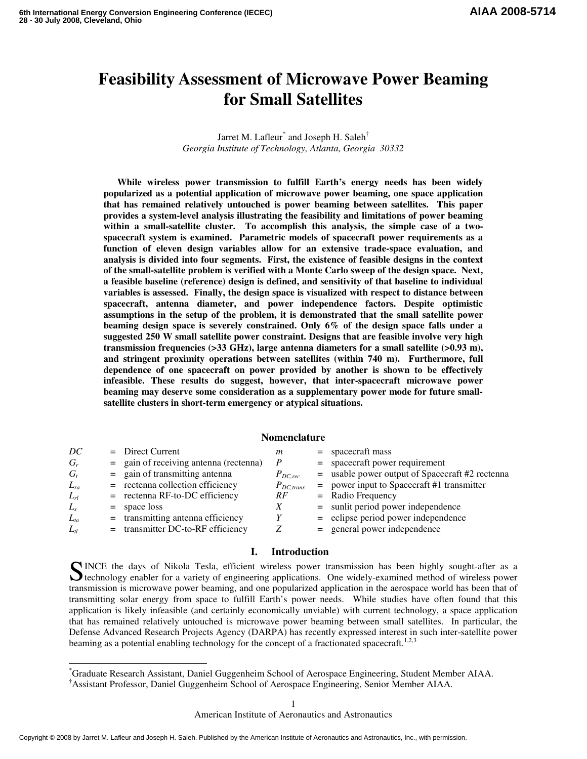# **Feasibility Assessment of Microwave Power Beaming for Small Satellites**

Jarret M. Lafleur $^*$  and Joseph H. Saleh $^\dagger$ *Georgia Institute of Technology, Atlanta, Georgia 30332*

**While wireless power transmission to fulfill Earth's energy needs has been widely popularized as a potential application of microwave power beaming, one space application that has remained relatively untouched is power beaming between satellites. This paper provides a system-level analysis illustrating the feasibility and limitations of power beaming within a small-satellite cluster. To accomplish this analysis, the simple case of a twospacecraft system is examined. Parametric models of spacecraft power requirements as a function of eleven design variables allow for an extensive trade-space evaluation, and analysis is divided into four segments. First, the existence of feasible designs in the context of the small-satellite problem is verified with a Monte Carlo sweep of the design space. Next, a feasible baseline (reference) design is defined, and sensitivity of that baseline to individual variables is assessed. Finally, the design space is visualized with respect to distance between spacecraft, antenna diameter, and power independence factors. Despite optimistic assumptions in the setup of the problem, it is demonstrated that the small satellite power beaming design space is severely constrained. Only 6% of the design space falls under a suggested 250 W small satellite power constraint. Designs that are feasible involve very high transmission frequencies (>33 GHz), large antenna diameters for a small satellite (>0.93 m), and stringent proximity operations between satellites (within 740 m). Furthermore, full dependence of one spacecraft on power provided by another is shown to be effectively infeasible. These results do suggest, however, that inter-spacecraft microwave power beaming may deserve some consideration as a supplementary power mode for future smallsatellite clusters in short-term emergency or atypical situations.**

## **Nomenclature**

| DC<br>$=$ Direct Current  |                                          | m              | $=$ spacecraft mass                               |
|---------------------------|------------------------------------------|----------------|---------------------------------------------------|
| $G_r$                     | $=$ gain of receiving antenna (rectenna) | P              | $=$ spacecraft power requirement                  |
| $G_t$                     | $=$ gain of transmitting antenna         | $P_{DC,rec}$   | $=$ usable power output of Spacecraft #2 rectenna |
| $L_{ra}$                  | $=$ rectenna collection efficiency       | $P_{DC,trans}$ | $=$ power input to Spacecraft #1 transmitter      |
| $L_{rl}$                  | $=$ rectenna RF-to-DC efficiency         | RF             | $=$ Radio Frequency                               |
| $L_{s}$<br>$=$ space loss |                                          |                | = sunlit period power independence                |
| $L_{ta}$                  | = transmitting antenna efficiency        |                | $=$ eclipse period power independence             |
| $L_{tl}$                  | = transmitter DC-to-RF efficiency        |                | = general power independence                      |

## **I. Introduction**

INCE the days of Nikola Tesla, efficient wireless power transmission has been highly sought-after as a SINCE the days of Nikola Tesla, efficient wireless power transmission has been highly sought-after as a dechnology enabler for a variety of engineering applications. One widely-examined method of wireless power transmission is microwave power beaming, and one popularized application in the aerospace world has been that of transmitting solar energy from space to fulfill Earth's power needs. While studies have often found that this application is likely infeasible (and certainly economically unviable) with current technology, a space application that has remained relatively untouched is microwave power beaming between small satellites. In particular, the Defense Advanced Research Projects Agency (DARPA) has recently expressed interest in such inter-satellite power beaming as a potential enabling technology for the concept of a fractionated spacecraft.<sup>1,2,3</sup>

<sup>\*</sup>Graduate Research Assistant, Daniel Guggenheim School of Aerospace Engineering, Student Member AIAA.

<sup>†</sup>Assistant Professor, Daniel Guggenheim School of Aerospace Engineering, Senior Member AIAA.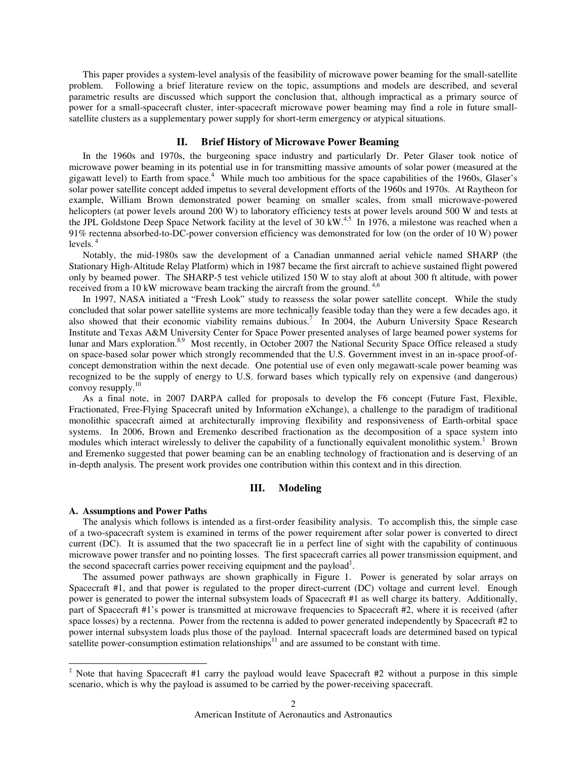This paper provides a system-level analysis of the feasibility of microwave power beaming for the small-satellite problem. Following a brief literature review on the topic, assumptions and models are described, and several parametric results are discussed which support the conclusion that, although impractical as a primary source of power for a small-spacecraft cluster, inter-spacecraft microwave power beaming may find a role in future smallsatellite clusters as a supplementary power supply for short-term emergency or atypical situations.

## **II. Brief History of Microwave Power Beaming**

In the 1960s and 1970s, the burgeoning space industry and particularly Dr. Peter Glaser took notice of microwave power beaming in its potential use in for transmitting massive amounts of solar power (measured at the gigawatt level) to Earth from space.<sup>4</sup> While much too ambitious for the space capabilities of the 1960s, Glaser's solar power satellite concept added impetus to several development efforts of the 1960s and 1970s. At Raytheon for example, William Brown demonstrated power beaming on smaller scales, from small microwave-powered helicopters (at power levels around 200 W) to laboratory efficiency tests at power levels around 500 W and tests at the JPL Goldstone Deep Space Network facility at the level of 30 kW.<sup>4,5</sup> In 1976, a milestone was reached when a 91% rectenna absorbed-to-DC-power conversion efficiency was demonstrated for low (on the order of 10 W) power levels. 4

Notably, the mid-1980s saw the development of a Canadian unmanned aerial vehicle named SHARP (the Stationary High-Altitude Relay Platform) which in 1987 became the first aircraft to achieve sustained flight powered only by beamed power. The SHARP-5 test vehicle utilized 150 W to stay aloft at about 300 ft altitude, with power received from a 10 kW microwave beam tracking the aircraft from the ground.<sup>4,6</sup>

In 1997, NASA initiated a "Fresh Look" study to reassess the solar power satellite concept. While the study concluded that solar power satellite systems are more technically feasible today than they were a few decades ago, it also showed that their economic viability remains dubious.<sup>7</sup> In 2004, the Auburn University Space Research Institute and Texas A&M University Center for Space Power presented analyses of large beamed power systems for lunar and Mars exploration.<sup>8,9</sup> Most recently, in October 2007 the National Security Space Office released a study on space-based solar power which strongly recommended that the U.S. Government invest in an in-space proof-ofconcept demonstration within the next decade. One potential use of even only megawatt-scale power beaming was recognized to be the supply of energy to U.S. forward bases which typically rely on expensive (and dangerous) convoy resupply. 10

As a final note, in 2007 DARPA called for proposals to develop the F6 concept (Future Fast, Flexible, Fractionated, Free-Flying Spacecraft united by Information eXchange), a challenge to the paradigm of traditional monolithic spacecraft aimed at architecturally improving flexibility and responsiveness of Earth-orbital space systems. In 2006, Brown and Eremenko described fractionation as the decomposition of a space system into modules which interact wirelessly to deliver the capability of a functionally equivalent monolithic system.<sup>1</sup> Brown and Eremenko suggested that power beaming can be an enabling technology of fractionation and is deserving of an in-depth analysis. The present work provides one contribution within this context and in this direction.

#### **III. Modeling**

#### **A. Assumptions and Power Paths**

The analysis which follows is intended as a first-order feasibility analysis. To accomplish this, the simple case of a two-spacecraft system is examined in terms of the power requirement after solar power is converted to direct current (DC). It is assumed that the two spacecraft lie in a perfect line of sight with the capability of continuous microwave power transfer and no pointing losses. The first spacecraft carries all power transmission equipment, and the second spacecraft carries power receiving equipment and the payload<sup>#</sup>.

The assumed power pathways are shown graphically in Figure 1. Power is generated by solar arrays on Spacecraft #1, and that power is regulated to the proper direct-current (DC) voltage and current level. Enough power is generated to power the internal subsystem loads of Spacecraft #1 as well charge its battery. Additionally, part of Spacecraft #1's power is transmitted at microwave frequencies to Spacecraft #2, where it is received (after space losses) by a rectenna. Power from the rectenna is added to power generated independently by Spacecraft #2 to power internal subsystem loads plus those of the payload. Internal spacecraft loads are determined based on typical satellite power-consumption estimation relationships<sup>11</sup> and are assumed to be constant with time.

<sup>‡</sup> Note that having Spacecraft #1 carry the payload would leave Spacecraft #2 without a purpose in this simple scenario, which is why the payload is assumed to be carried by the power-receiving spacecraft.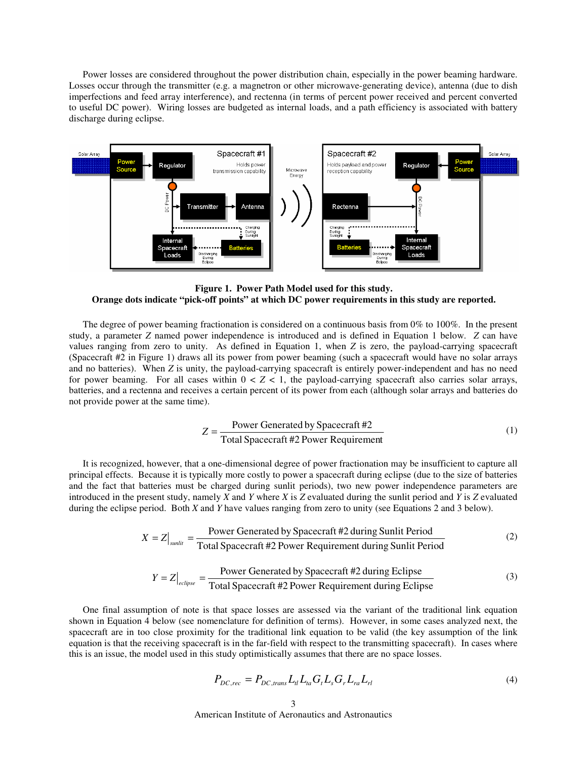Power losses are considered throughout the power distribution chain, especially in the power beaming hardware. Losses occur through the transmitter (e.g. a magnetron or other microwave-generating device), antenna (due to dish imperfections and feed array interference), and rectenna (in terms of percent power received and percent converted to useful DC power). Wiring losses are budgeted as internal loads, and a path efficiency is associated with battery discharge during eclipse.



**Figure 1. Power Path Model used for this study. Orange dots indicate "pick-off points" at which DC power requirements in this study are reported.**

The degree of power beaming fractionation is considered on a continuous basis from 0% to 100%. In the present study, a parameter *Z* named power independence is introduced and is defined in Equation 1 below. *Z* can have values ranging from zero to unity. As defined in Equation 1, when *Z* is zero, the payload-carrying spacecraft (Spacecraft #2 in Figure 1) draws all its power from power beaming (such a spacecraft would have no solar arrays and no batteries). When *Z* is unity, the payload-carrying spacecraft is entirely power-independent and has no need for power beaming. For all cases within  $0 < Z < 1$ , the payload-carrying spacecraft also carries solar arrays, batteries, and a rectenna and receives a certain percent of its power from each (although solar arrays and batteries do not provide power at the same time).

$$
Z = \frac{\text{Power Generaled by Spacecraft #2}}{\text{Total Spacecraft #2 Power Required}
$$
 (1)

It is recognized, however, that a one-dimensional degree of power fractionation may be insufficient to capture all principal effects. Because it is typically more costly to power a spacecraft during eclipse (due to the size of batteries and the fact that batteries must be charged during sunlit periods), two new power independence parameters are introduced in the present study, namely *X* and *Y* where *X* is *Z* evaluated during the sunlit period and *Y* is *Z* evaluated during the eclipse period. Both *X* and *Y* have values ranging from zero to unity (see Equations 2 and 3 below).

$$
X = Z\Big|_{\text{small}} = \frac{\text{Power Generaled by Spacecraft #2 during Sunlit Period}}{\text{Total Spacecraft #2 Power Required during Sunlit Period}}
$$
(2)  

$$
Y = Z\Big|_{\text{eclipse}} = \frac{\text{Power Generaled by Spacecraft #2 during Eclipse}}{\text{Total Spacecraft #2 Power Required during Eclipse}}
$$
(3)

One final assumption of note is that space losses are assessed via the variant of the traditional link equation shown in Equation 4 below (see nomenclature for definition of terms). However, in some cases analyzed next, the spacecraft are in too close proximity for the traditional link equation to be valid (the key assumption of the link equation is that the receiving spacecraft is in the far-field with respect to the transmitting spacecraft). In cases where this is an issue, the model used in this study optimistically assumes that there are no space losses.

$$
P_{DC,rec} = P_{DC,trans} L_{tl} L_{ta} G_t L_s G_r L_{ra} L_{rl}
$$
\n
$$
\tag{4}
$$

American Institute of Aeronautics and Astronautics 3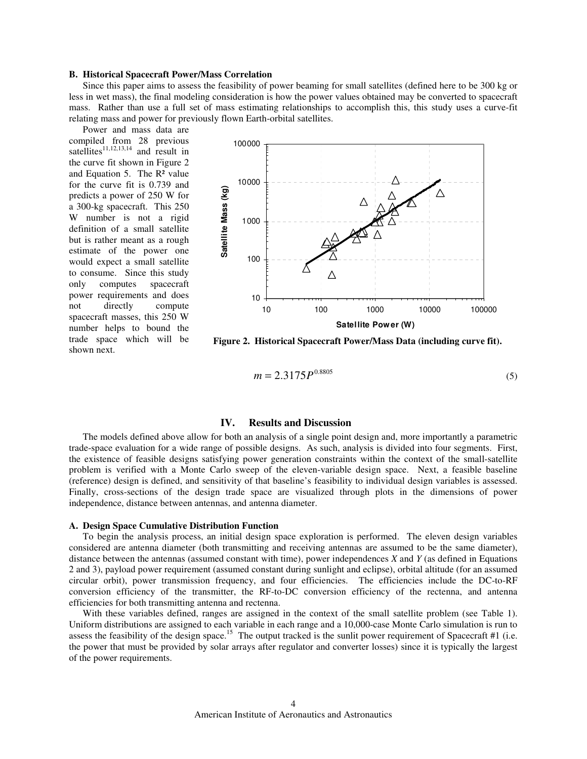#### **B. Historical Spacecraft Power/Mass Correlation**

Since this paper aims to assess the feasibility of power beaming for small satellites (defined here to be 300 kg or less in wet mass), the final modeling consideration is how the power values obtained may be converted to spacecraft mass. Rather than use a full set of mass estimating relationships to accomplish this, this study uses a curve-fit relating mass and power for previously flown Earth-orbital satellites.

Power and mass data are compiled from 28 previous satellites $11,12,13,14$  and result in the curve fit shown in Figure 2 and Equation 5. The R² value for the curve fit is 0.739 and predicts a power of 250 W for a 300-kg spacecraft. This 250 W number is not a rigid definition of a small satellite but is rather meant as a rough estimate of the power one would expect a small satellite to consume. Since this study only computes spacecraft power requirements and does not directly compute spacecraft masses, this 250 W number helps to bound the trade space which will be shown next.



**Figure 2. Historical Spacecraft Power/Mass Data (including curve fit).**

$$
m = 2.3175P0.8805
$$
 (5)

## **IV. Results and Discussion**

The models defined above allow for both an analysis of a single point design and, more importantly a parametric trade-space evaluation for a wide range of possible designs. As such, analysis is divided into four segments. First, the existence of feasible designs satisfying power generation constraints within the context of the small-satellite problem is verified with a Monte Carlo sweep of the eleven-variable design space. Next, a feasible baseline (reference) design is defined, and sensitivity of that baseline's feasibility to individual design variables is assessed. Finally, cross-sections of the design trade space are visualized through plots in the dimensions of power independence, distance between antennas, and antenna diameter.

#### **A. Design Space Cumulative Distribution Function**

To begin the analysis process, an initial design space exploration is performed. The eleven design variables considered are antenna diameter (both transmitting and receiving antennas are assumed to be the same diameter), distance between the antennas (assumed constant with time), power independences *X* and *Y* (as defined in Equations 2 and 3), payload power requirement (assumed constant during sunlight and eclipse), orbital altitude (for an assumed circular orbit), power transmission frequency, and four efficiencies. The efficiencies include the DC-to-RF conversion efficiency of the transmitter, the RF-to-DC conversion efficiency of the rectenna, and antenna efficiencies for both transmitting antenna and rectenna.

With these variables defined, ranges are assigned in the context of the small satellite problem (see Table 1). Uniform distributions are assigned to each variable in each range and a 10,000-case Monte Carlo simulation is run to assess the feasibility of the design space.<sup>15</sup> The output tracked is the sunlit power requirement of Spacecraft #1 (i.e. the power that must be provided by solar arrays after regulator and converter losses) since it is typically the largest of the power requirements.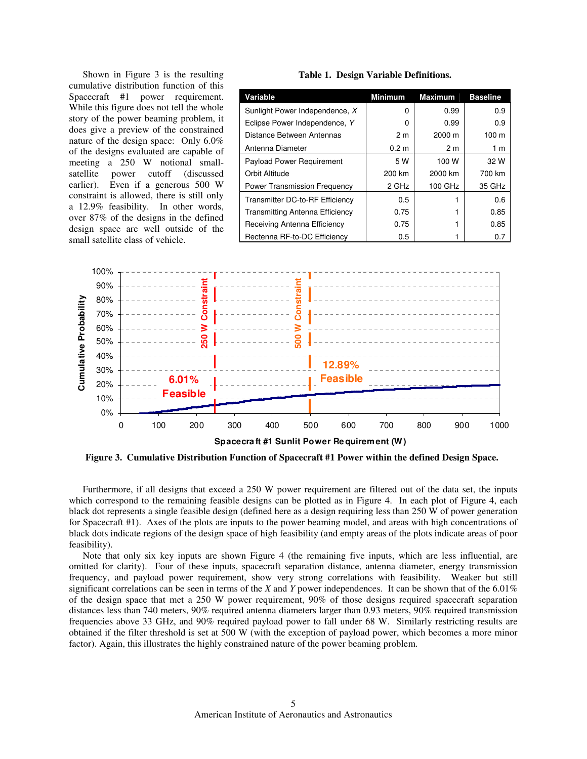Shown in Figure 3 is the resulting cumulative distribution function of this Spacecraft #1 power requirement. While this figure does not tell the whole story of the power beaming problem, it does give a preview of the constrained nature of the design space: Only 6.0% of the designs evaluated are capable of meeting a 250 W notional smallsatellite power cutoff (discussed earlier). Even if a generous 500 W constraint is allowed, there is still only a 12.9% feasibility. In other words, over 87% of the designs in the defined design space are well outside of the small satellite class of vehicle.

**Table 1. Design Variable Definitions.**

| Variable                               | <b>Minimum</b>   | <b>Maximum</b>   | <b>Baseline</b> |
|----------------------------------------|------------------|------------------|-----------------|
| Sunlight Power Independence, X         | 0                | 0.99             | 0.9             |
| Eclipse Power Independence, Y          | 0                | 0.99             | 0.9             |
| Distance Between Antennas              | 2 <sub>m</sub>   | $2000 \;{\rm m}$ | $100 \text{ m}$ |
| Antenna Diameter                       | 0.2 <sub>m</sub> | 2 <sub>m</sub>   | 1 m             |
| Payload Power Requirement              | 5 W              | 100 W            | 32 W            |
| Orbit Altitude                         | 200 km           | 2000 km          | 700 km          |
| <b>Power Transmission Frequency</b>    | 2 GHz            | 100 GHz          | 35 GHz          |
| Transmitter DC-to-RF Efficiency        | 0.5              |                  | 0.6             |
| <b>Transmitting Antenna Efficiency</b> | 0.75             |                  | 0.85            |
| Receiving Antenna Efficiency           | 0.75             |                  | 0.85            |
| Rectenna RF-to-DC Efficiency           | 0.5              |                  | 0.7             |



**Figure 3. Cumulative Distribution Function of Spacecraft #1 Power within the defined Design Space.**

Furthermore, if all designs that exceed a 250 W power requirement are filtered out of the data set, the inputs which correspond to the remaining feasible designs can be plotted as in Figure 4. In each plot of Figure 4, each black dot represents a single feasible design (defined here as a design requiring less than 250 W of power generation for Spacecraft #1). Axes of the plots are inputs to the power beaming model, and areas with high concentrations of black dots indicate regions of the design space of high feasibility (and empty areas of the plots indicate areas of poor feasibility).

Note that only six key inputs are shown Figure 4 (the remaining five inputs, which are less influential, are omitted for clarity). Four of these inputs, spacecraft separation distance, antenna diameter, energy transmission frequency, and payload power requirement, show very strong correlations with feasibility. Weaker but still significant correlations can be seen in terms of the *X* and *Y* power independences. It can be shown that of the 6.01% of the design space that met a 250 W power requirement, 90% of those designs required spacecraft separation distances less than 740 meters, 90% required antenna diameters larger than 0.93 meters, 90% required transmission frequencies above 33 GHz, and 90% required payload power to fall under 68 W. Similarly restricting results are obtained if the filter threshold is set at 500 W (with the exception of payload power, which becomes a more minor factor). Again, this illustrates the highly constrained nature of the power beaming problem.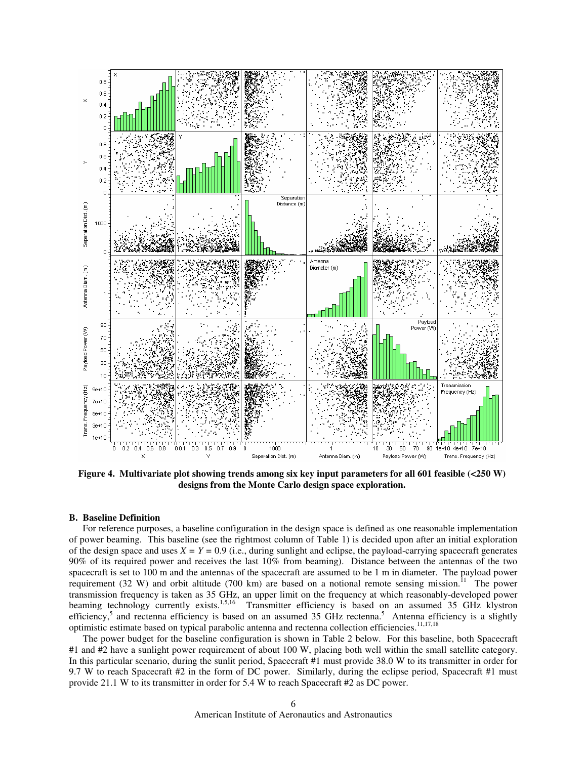

**Figure 4. Multivariate plot showing trends among six key input parameters for all 601 feasible (<250 W) designs from the Monte Carlo design space exploration.**

#### **B. Baseline Definition**

For reference purposes, a baseline configuration in the design space is defined as one reasonable implementation of power beaming. This baseline (see the rightmost column of Table 1) is decided upon after an initial exploration of the design space and uses  $X = Y = 0.9$  (i.e., during sunlight and eclipse, the payload-carrying spacecraft generates 90% of its required power and receives the last 10% from beaming). Distance between the antennas of the two spacecraft is set to 100 m and the antennas of the spacecraft are assumed to be 1 m in diameter. The payload power requirement (32 W) and orbit altitude (700 km) are based on a notional remote sensing mission.<sup>[1</sup>] The power transmission frequency is taken as 35 GHz, an upper limit on the frequency at which reasonably-developed power beaming technology currently exists.<sup>1,5,16</sup> Transmitter efficiency is based on an assumed 35 GHz klystron efficiency,<sup>5</sup> and rectenna efficiency is based on an assumed 35 GHz rectenna.<sup>5</sup> Antenna efficiency is a slightly optimistic estimate based on typical parabolic antenna and rectenna collection efficiencies.<sup>11,17,18</sup>

The power budget for the baseline configuration is shown in Table 2 below. For this baseline, both Spacecraft #1 and #2 have a sunlight power requirement of about 100 W, placing both well within the small satellite category. In this particular scenario, during the sunlit period, Spacecraft #1 must provide 38.0 W to its transmitter in order for 9.7 W to reach Spacecraft #2 in the form of DC power. Similarly, during the eclipse period, Spacecraft #1 must provide 21.1 W to its transmitter in order for 5.4 W to reach Spacecraft #2 as DC power.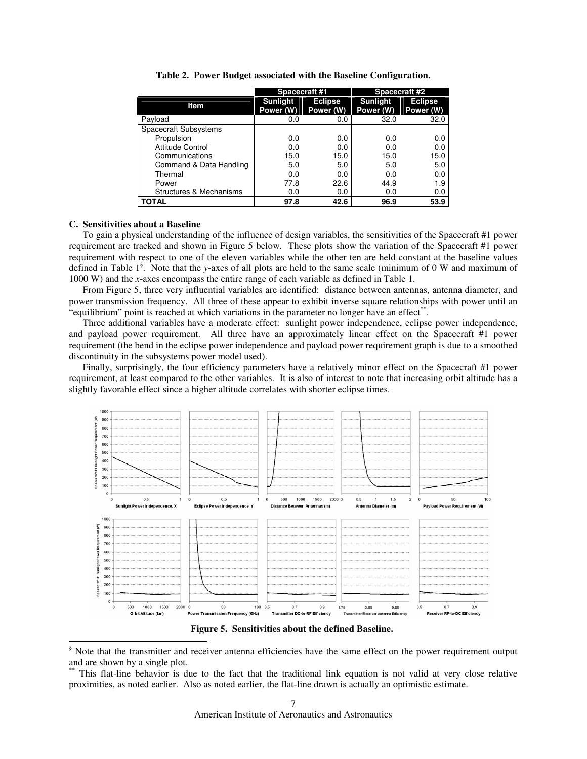|                         | Spacecraft #1                |                             | Spacecraft #2                |                             |
|-------------------------|------------------------------|-----------------------------|------------------------------|-----------------------------|
| Item                    | <b>Sunlight</b><br>Power (W) | <b>Eclipse</b><br>Power (W) | <b>Sunlight</b><br>Power (W) | <b>Eclipse</b><br>Power (W) |
| Payload                 | 0.0                          | 0.0                         | 32.0                         | 32.0                        |
| Spacecraft Subsystems   |                              |                             |                              |                             |
| Propulsion              | 0.0                          | 0.0                         | 0.0                          | 0.0                         |
| Attitude Control        | 0.0                          | 0.0                         | 0.0                          | 0.0                         |
| Communications          | 15.0                         | 15.0                        | 15.0                         | 15.0                        |
| Command & Data Handling | 5.0                          | 5.0                         | 5.0                          | 5.0                         |
| Thermal                 | 0.0                          | 0.0                         | 0.0                          | 0.0                         |
| Power                   | 77.8                         | 22.6                        | 44.9                         | 1.9                         |
| Structures & Mechanisms | 0.0                          | 0.0                         | 0.0                          | 0.0                         |
| TOTAL                   | 97.8                         | 42.6                        | 96.9                         | 53.9                        |

**Table 2. Power Budget associated with the Baseline Configuration.**

## **C. Sensitivities about a Baseline**

To gain a physical understanding of the influence of design variables, the sensitivities of the Spacecraft #1 power requirement are tracked and shown in Figure 5 below. These plots show the variation of the Spacecraft #1 power requirement with respect to one of the eleven variables while the other ten are held constant at the baseline values defined in Table 1 § . Note that the *y*-axes of all plots are held to the same scale (minimum of 0 W and maximum of 1000 W) and the *x*-axes encompass the entire range of each variable as defined in Table 1.

From Figure 5, three very influential variables are identified: distance between antennas, antenna diameter, and power transmission frequency. All three of these appear to exhibit inverse square relationships with power until an "equilibrium" point is reached at which variations in the parameter no longer have an effect<sup>\*\*</sup>.

Three additional variables have a moderate effect: sunlight power independence, eclipse power independence, and payload power requirement. All three have an approximately linear effect on the Spacecraft #1 power requirement (the bend in the eclipse power independence and payload power requirement graph is due to a smoothed discontinuity in the subsystems power model used).

Finally, surprisingly, the four efficiency parameters have a relatively minor effect on the Spacecraft #1 power requirement, at least compared to the other variables. It is also of interest to note that increasing orbit altitude has a slightly favorable effect since a higher altitude correlates with shorter eclipse times.



**Figure 5. Sensitivities about the defined Baseline.**

<sup>§</sup> Note that the transmitter and receiver antenna efficiencies have the same effect on the power requirement output and are shown by a single plot.

This flat-line behavior is due to the fact that the traditional link equation is not valid at very close relative proximities, as noted earlier. Also as noted earlier, the flat-line drawn is actually an optimistic estimate.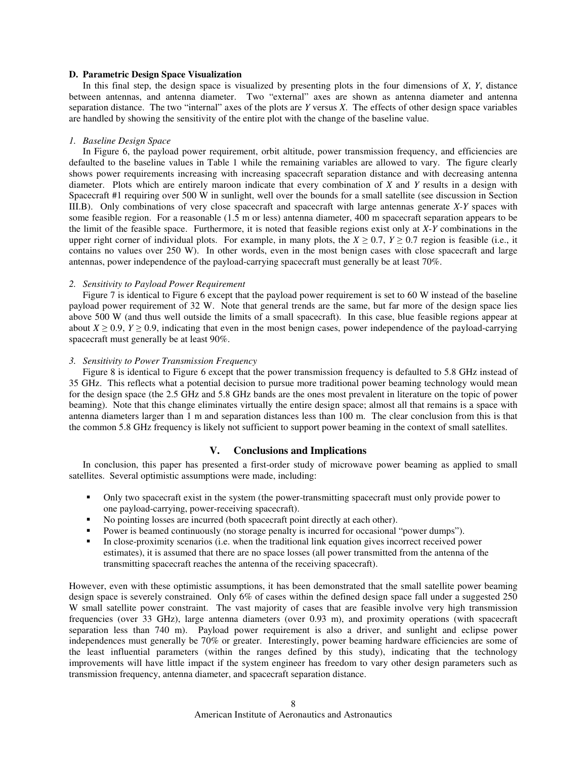## **D. Parametric Design Space Visualization**

In this final step, the design space is visualized by presenting plots in the four dimensions of *X*, *Y*, distance between antennas, and antenna diameter. Two "external" axes are shown as antenna diameter and antenna separation distance. The two "internal" axes of the plots are *Y* versus *X*. The effects of other design space variables are handled by showing the sensitivity of the entire plot with the change of the baseline value.

#### *1. Baseline Design Space*

In Figure 6, the payload power requirement, orbit altitude, power transmission frequency, and efficiencies are defaulted to the baseline values in Table 1 while the remaining variables are allowed to vary. The figure clearly shows power requirements increasing with increasing spacecraft separation distance and with decreasing antenna diameter. Plots which are entirely maroon indicate that every combination of *X* and *Y* results in a design with Spacecraft #1 requiring over 500 W in sunlight, well over the bounds for a small satellite (see discussion in Section III.B). Only combinations of very close spacecraft and spacecraft with large antennas generate *X-Y* spaces with some feasible region. For a reasonable (1.5 m or less) antenna diameter, 400 m spacecraft separation appears to be the limit of the feasible space. Furthermore, it is noted that feasible regions exist only at *X-Y* combinations in the upper right corner of individual plots. For example, in many plots, the  $X \geq 0.7$ ,  $Y \geq 0.7$  region is feasible (i.e., it contains no values over 250 W). In other words, even in the most benign cases with close spacecraft and large antennas, power independence of the payload-carrying spacecraft must generally be at least 70%.

## *2. Sensitivity to Payload Power Requirement*

Figure 7 is identical to Figure 6 except that the payload power requirement is set to 60 W instead of the baseline payload power requirement of 32 W. Note that general trends are the same, but far more of the design space lies above 500 W (and thus well outside the limits of a small spacecraft). In this case, blue feasible regions appear at about  $X \ge 0.9$ ,  $Y \ge 0.9$ , indicating that even in the most benign cases, power independence of the payload-carrying spacecraft must generally be at least 90%.

### *3. Sensitivity to Power Transmission Frequency*

Figure 8 is identical to Figure 6 except that the power transmission frequency is defaulted to 5.8 GHz instead of 35 GHz. This reflects what a potential decision to pursue more traditional power beaming technology would mean for the design space (the 2.5 GHz and 5.8 GHz bands are the ones most prevalent in literature on the topic of power beaming). Note that this change eliminates virtually the entire design space; almost all that remains is a space with antenna diameters larger than 1 m and separation distances less than 100 m. The clear conclusion from this is that the common 5.8 GHz frequency is likely not sufficient to support power beaming in the context of small satellites.

## **V. Conclusions and Implications**

In conclusion, this paper has presented a first-order study of microwave power beaming as applied to small satellites. Several optimistic assumptions were made, including:

- Only two spacecraft exist in the system (the power-transmitting spacecraft must only provide power to one payload-carrying, power-receiving spacecraft).
- No pointing losses are incurred (both spacecraft point directly at each other).
- Power is beamed continuously (no storage penalty is incurred for occasional "power dumps").
- In close-proximity scenarios (i.e. when the traditional link equation gives incorrect received power estimates), it is assumed that there are no space losses (all power transmitted from the antenna of the transmitting spacecraft reaches the antenna of the receiving spacecraft).

However, even with these optimistic assumptions, it has been demonstrated that the small satellite power beaming design space is severely constrained. Only 6% of cases within the defined design space fall under a suggested 250 W small satellite power constraint. The vast majority of cases that are feasible involve very high transmission frequencies (over 33 GHz), large antenna diameters (over 0.93 m), and proximity operations (with spacecraft separation less than 740 m). Payload power requirement is also a driver, and sunlight and eclipse power independences must generally be 70% or greater. Interestingly, power beaming hardware efficiencies are some of the least influential parameters (within the ranges defined by this study), indicating that the technology improvements will have little impact if the system engineer has freedom to vary other design parameters such as transmission frequency, antenna diameter, and spacecraft separation distance.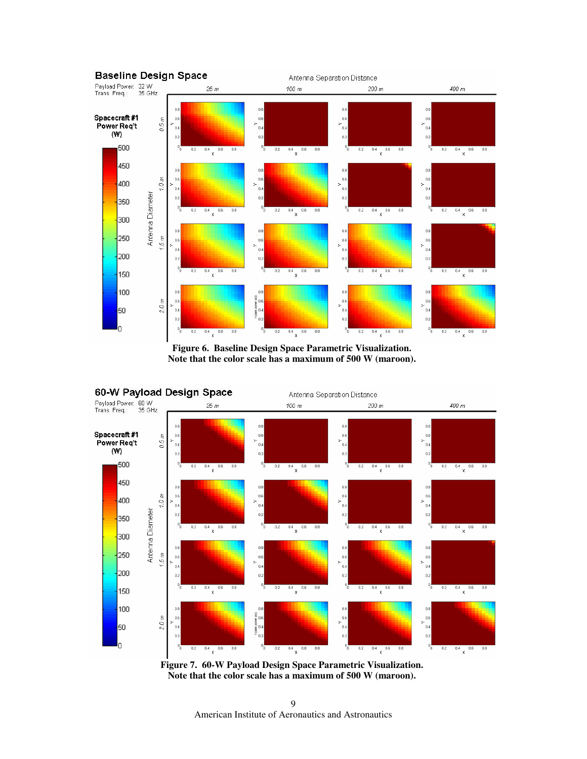

**Figure 6. Baseline Design Space Parametric Visualization. Note that the color scale has a maximum of 500 W (maroon).**



**Figure 7. 60-W Payload Design Space Parametric Visualization. Note that the color scale has a maximum of 500 W (maroon).**

American Institute of Aeronautics and Astronautics 9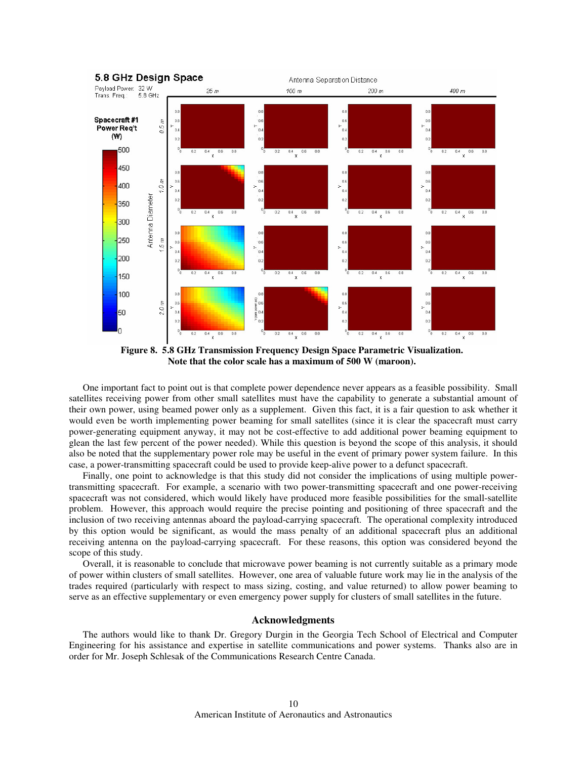

**Figure 8. 5.8 GHz Transmission Frequency Design Space Parametric Visualization. Note that the color scale has a maximum of 500 W (maroon).**

One important fact to point out is that complete power dependence never appears as a feasible possibility. Small satellites receiving power from other small satellites must have the capability to generate a substantial amount of their own power, using beamed power only as a supplement. Given this fact, it is a fair question to ask whether it would even be worth implementing power beaming for small satellites (since it is clear the spacecraft must carry power-generating equipment anyway, it may not be cost-effective to add additional power beaming equipment to glean the last few percent of the power needed). While this question is beyond the scope of this analysis, it should also be noted that the supplementary power role may be useful in the event of primary power system failure. In this case, a power-transmitting spacecraft could be used to provide keep-alive power to a defunct spacecraft.

Finally, one point to acknowledge is that this study did not consider the implications of using multiple powertransmitting spacecraft. For example, a scenario with two power-transmitting spacecraft and one power-receiving spacecraft was not considered, which would likely have produced more feasible possibilities for the small-satellite problem. However, this approach would require the precise pointing and positioning of three spacecraft and the inclusion of two receiving antennas aboard the payload-carrying spacecraft. The operational complexity introduced by this option would be significant, as would the mass penalty of an additional spacecraft plus an additional receiving antenna on the payload-carrying spacecraft. For these reasons, this option was considered beyond the scope of this study.

Overall, it is reasonable to conclude that microwave power beaming is not currently suitable as a primary mode of power within clusters of small satellites. However, one area of valuable future work may lie in the analysis of the trades required (particularly with respect to mass sizing, costing, and value returned) to allow power beaming to serve as an effective supplementary or even emergency power supply for clusters of small satellites in the future.

#### **Acknowledgments**

The authors would like to thank Dr. Gregory Durgin in the Georgia Tech School of Electrical and Computer Engineering for his assistance and expertise in satellite communications and power systems. Thanks also are in order for Mr. Joseph Schlesak of the Communications Research Centre Canada.